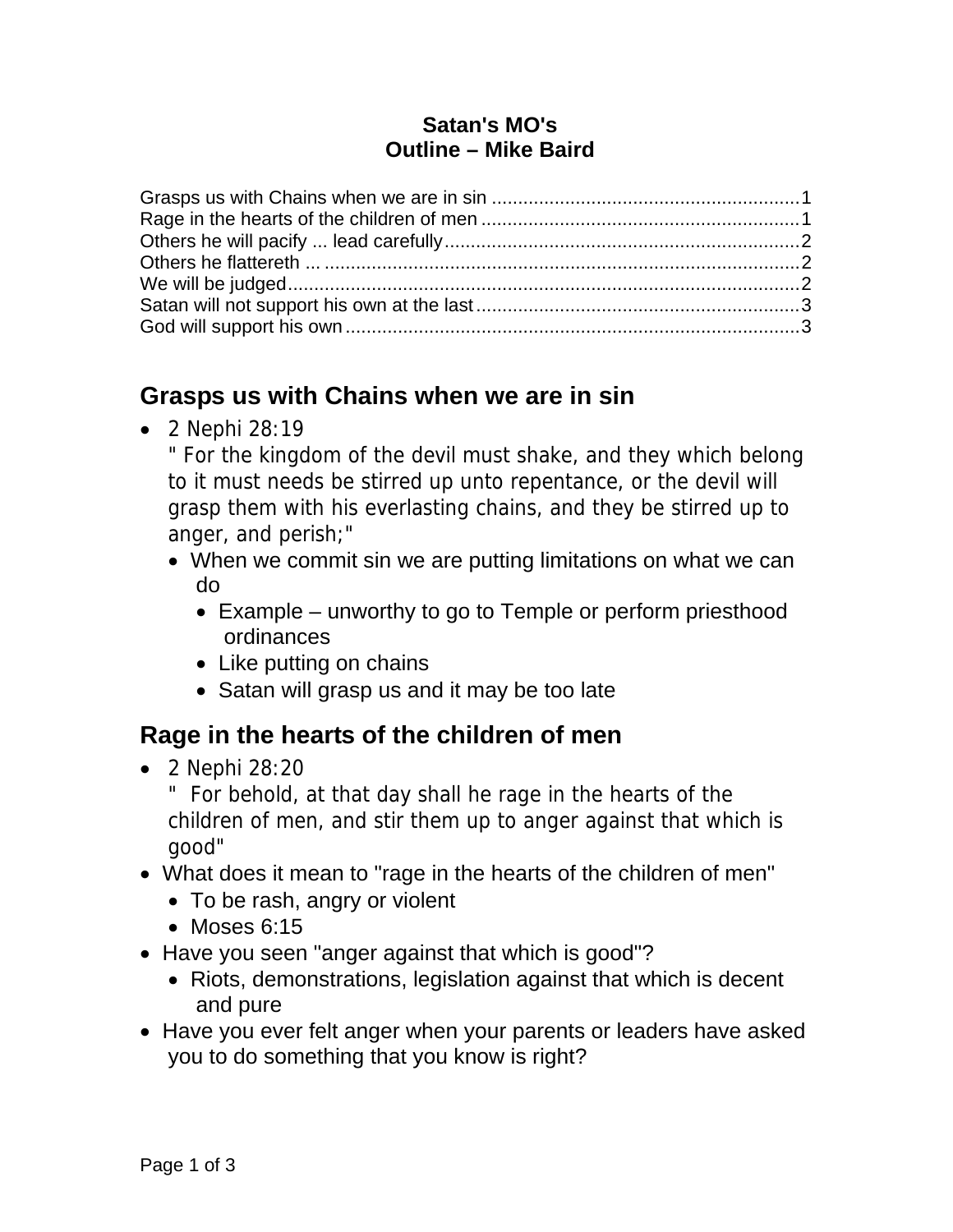#### **Satan's MO's Outline – Mike Baird**

#### **Grasps us with Chains when we are in sin**

• 2 Nephi 28:19

" For the kingdom of the devil must shake, and they which belong to it must needs be stirred up unto repentance, or the devil will grasp them with his everlasting chains, and they be stirred up to anger, and perish;"

- When we commit sin we are putting limitations on what we can do
	- Example unworthy to go to Temple or perform priesthood ordinances
	- Like putting on chains
	- Satan will grasp us and it may be too late

# **Rage in the hearts of the children of men**

• 2 Nephi 28:20

" For behold, at that day shall he rage in the hearts of the children of men, and stir them up to anger against that which is good"

- What does it mean to "rage in the hearts of the children of men"
	- To be rash, angry or violent
	- Moses 6:15
- Have you seen "anger against that which is good"?
	- Riots, demonstrations, legislation against that which is decent and pure
- Have you ever felt anger when your parents or leaders have asked you to do something that you know is right?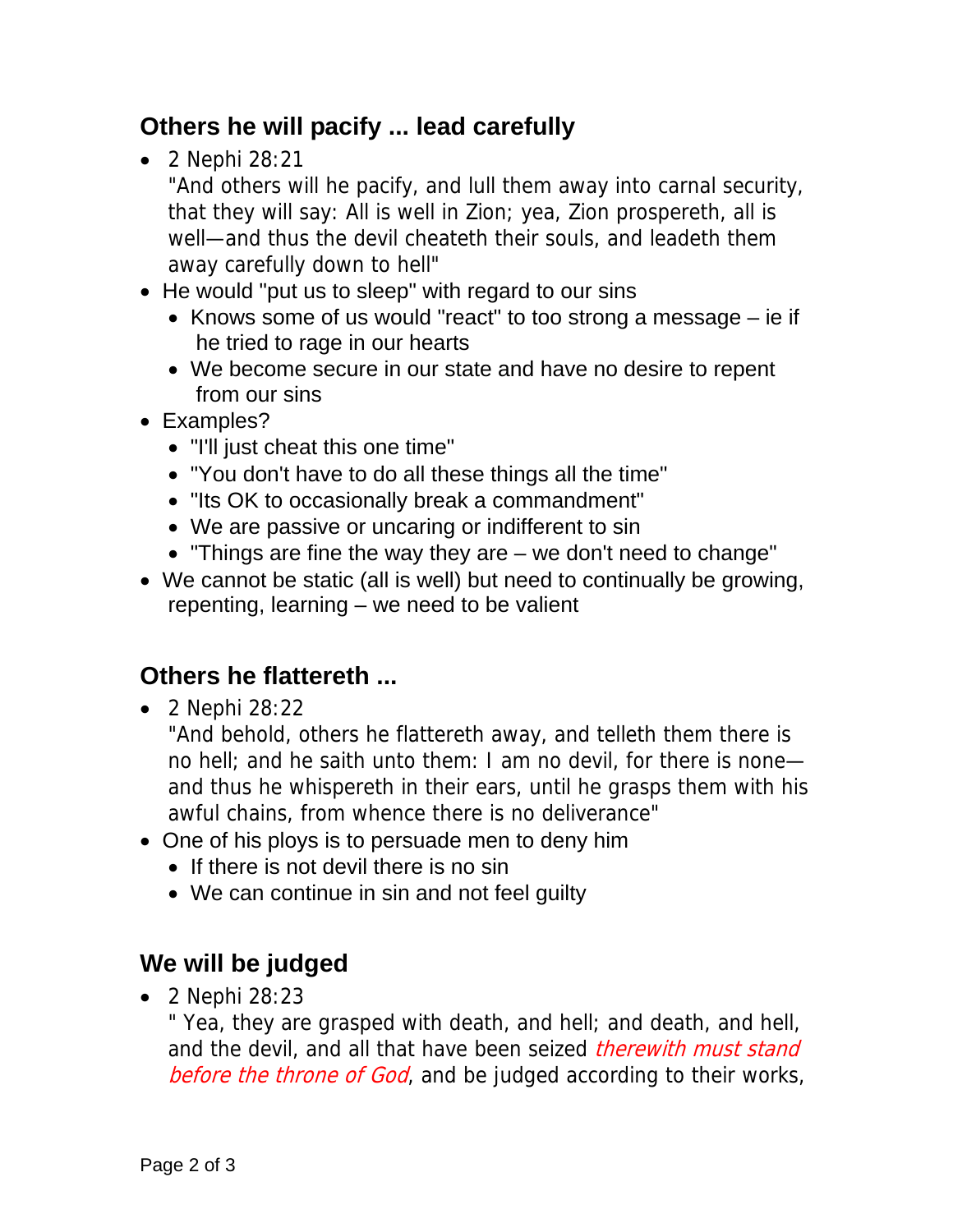## **Others he will pacify ... lead carefully**

• 2 Nephi 28:21

"And others will he pacify, and lull them away into carnal security, that they will say: All is well in Zion; yea, Zion prospereth, all is well—and thus the devil cheateth their souls, and leadeth them away carefully down to hell"

- He would "put us to sleep" with regard to our sins
	- Knows some of us would "react" to too strong a message ie if he tried to rage in our hearts
	- We become secure in our state and have no desire to repent from our sins
- Examples?
	- "I'll just cheat this one time"
	- "You don't have to do all these things all the time"
	- "Its OK to occasionally break a commandment"
	- We are passive or uncaring or indifferent to sin
	- "Things are fine the way they are we don't need to change"
- We cannot be static (all is well) but need to continually be growing, repenting, learning – we need to be valient

### **Others he flattereth ...**

• 2 Nephi 28:22

"And behold, others he flattereth away, and telleth them there is no hell; and he saith unto them: I am no devil, for there is none and thus he whispereth in their ears, until he grasps them with his awful chains, from whence there is no deliverance"

- One of his ploys is to persuade men to deny him
	- If there is not devil there is no sin
	- We can continue in sin and not feel quilty

### **We will be judged**

• 2 Nephi 28:23

" Yea, they are grasped with death, and hell; and death, and hell, and the devil, and all that have been seized *therewith must stand* before the throne of God, and be judged according to their works,